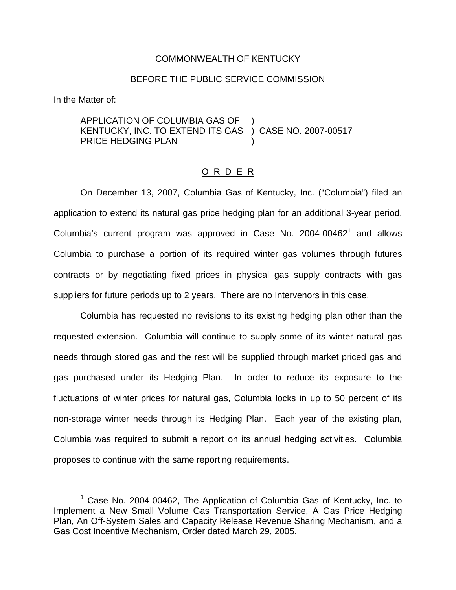## COMMONWEALTH OF KENTUCKY

## BEFORE THE PUBLIC SERVICE COMMISSION

In the Matter of:

APPLICATION OF COLUMBIA GAS OF KENTUCKY, INC. TO EXTEND ITS GAS PRICE HEDGING PLAN ) ) CASE NO. 2007-00517 )

## O R D E R

On December 13, 2007, Columbia Gas of Kentucky, Inc. ("Columbia") filed an application to extend its natural gas price hedging plan for an additional 3-year period. Columbia's current program was approved in Case No.  $2004-00462<sup>1</sup>$  and allows Columbia to purchase a portion of its required winter gas volumes through futures contracts or by negotiating fixed prices in physical gas supply contracts with gas suppliers for future periods up to 2 years. There are no Intervenors in this case.

Columbia has requested no revisions to its existing hedging plan other than the requested extension. Columbia will continue to supply some of its winter natural gas needs through stored gas and the rest will be supplied through market priced gas and gas purchased under its Hedging Plan. In order to reduce its exposure to the fluctuations of winter prices for natural gas, Columbia locks in up to 50 percent of its non-storage winter needs through its Hedging Plan. Each year of the existing plan, Columbia was required to submit a report on its annual hedging activities. Columbia proposes to continue with the same reporting requirements.

 $1$  Case No. 2004-00462, The Application of Columbia Gas of Kentucky, Inc. to Implement a New Small Volume Gas Transportation Service, A Gas Price Hedging Plan, An Off-System Sales and Capacity Release Revenue Sharing Mechanism, and a Gas Cost Incentive Mechanism, Order dated March 29, 2005.